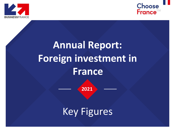



# **Annual Report: Foreign investment in France**

**2021**

Key Figures

1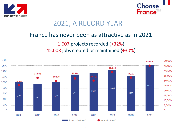



#### 2021, A RECORD YEAR

#### France has never been as attractive as in 2021

#### 1,607 projects recorded (+32%) 45,008 jobs created or maintained (+30%)

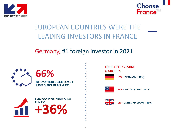



### EUROPEAN COUNTRIES WERE THE LEADING INVESTORS IN FRANCE

#### Germany, #1 foreign investor in 2021

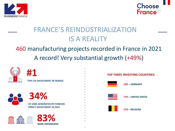



### FRANCE'S REINDUSTRIALIZATION IS A REALITY

#### 460 manufacturing projects recorded in France in 2021 A record! Very substantial growth (+49%)



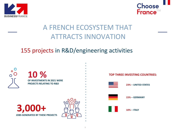



### A FRENCH ECOSYSTEM THAT ATTRACTS INNOVATION

#### 155 projects in R&D/engineering activities

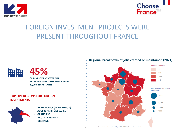



### FOREIGN INVESTMENT PROJECTS WERE PRESENT THROUGHOUT FRANCE



### **45%**

**OF INVESTMENTS WERE IN MUNICIPALITIES WITH FEWER THAN 20,000 INHABITANTS**

#### **TOP FIVE REGIONS FOR FOREIGN INVESTMENTS**





- **GRAND EST**
- **HAUTS DE FRANCE**
- **OCCITANIE**

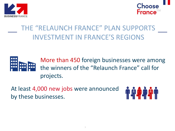



## THE "RELAUNCH FRANCE" PLAN SUPPORTS INVESTMENT IN FRANCE'S REGIONS



More than 450 foreign businesses were among the winners of the "Relaunch France" call for projects.

At least 4,000 new jobs were announced by these businesses.